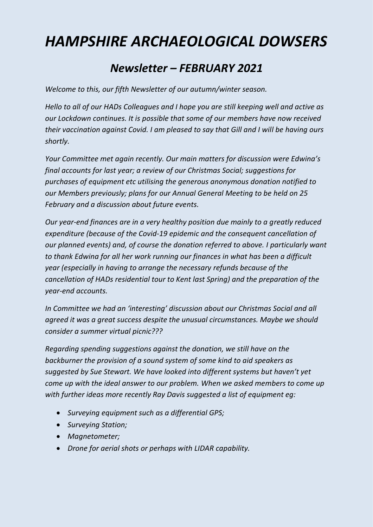# *HAMPSHIRE ARCHAEOLOGICAL DOWSERS*

# *Newsletter – FEBRUARY 2021*

*Welcome to this, our fifth Newsletter of our autumn/winter season.*

*Hello to all of our HADs Colleagues and I hope you are still keeping well and active as our Lockdown continues. It is possible that some of our members have now received their vaccination against Covid. I am pleased to say that Gill and I will be having ours shortly.*

*Your Committee met again recently. Our main matters for discussion were Edwina's final accounts for last year; a review of our Christmas Social; suggestions for purchases of equipment etc utilising the generous anonymous donation notified to our Members previously; plans for our Annual General Meeting to be held on 25 February and a discussion about future events.*

*Our year-end finances are in a very healthy position due mainly to a greatly reduced expenditure (because of the Covid-19 epidemic and the consequent cancellation of our planned events) and, of course the donation referred to above. I particularly want to thank Edwina for all her work running our finances in what has been a difficult year (especially in having to arrange the necessary refunds because of the cancellation of HADs residential tour to Kent last Spring) and the preparation of the year-end accounts.*

*In Committee we had an 'interesting' discussion about our Christmas Social and all agreed it was a great success despite the unusual circumstances. Maybe we should consider a summer virtual picnic???*

*Regarding spending suggestions against the donation, we still have on the backburner the provision of a sound system of some kind to aid speakers as suggested by Sue Stewart. We have looked into different systems but haven't yet come up with the ideal answer to our problem. When we asked members to come up with further ideas more recently Ray Davis suggested a list of equipment eg:*

- *Surveying equipment such as a differential GPS;*
- *Surveying Station;*
- *Magnetometer;*
- *Drone for aerial shots or perhaps with LIDAR capability.*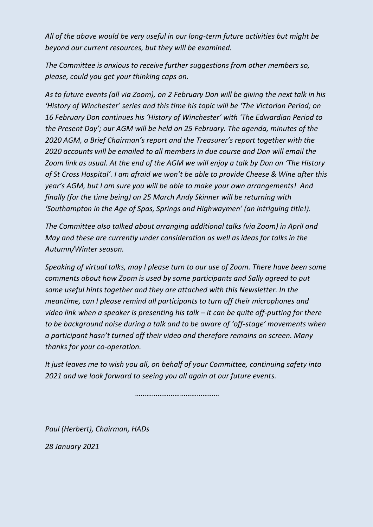*All of the above would be very useful in our long-term future activities but might be beyond our current resources, but they will be examined.*

*The Committee is anxious to receive further suggestions from other members so, please, could you get your thinking caps on.*

*As to future events (all via Zoom), on 2 February Don will be giving the next talk in his 'History of Winchester' series and this time his topic will be 'The Victorian Period; on 16 February Don continues his 'History of Winchester' with 'The Edwardian Period to the Present Day'; our AGM will be held on 25 February. The agenda, minutes of the 2020 AGM, a Brief Chairman's report and the Treasurer's report together with the 2020 accounts will be emailed to all members in due course and Don will email the Zoom link as usual. At the end of the AGM we will enjoy a talk by Don on 'The History of St Cross Hospital'. I am afraid we won't be able to provide Cheese & Wine after this year's AGM, but I am sure you will be able to make your own arrangements! And finally (for the time being) on 25 March Andy Skinner will be returning with 'Southampton in the Age of Spas, Springs and Highwaymen' (an intriguing title!).*

*The Committee also talked about arranging additional talks (via Zoom) in April and May and these are currently under consideration as well as ideas for talks in the Autumn/Winter season.*

*Speaking of virtual talks, may I please turn to our use of Zoom. There have been some comments about how Zoom is used by some participants and Sally agreed to put some useful hints together and they are attached with this Newsletter. In the meantime, can I please remind all participants to turn off their microphones and video link when a speaker is presenting his talk – it can be quite off-putting for there to be background noise during a talk and to be aware of 'off-stage' movements when a participant hasn't turned off their video and therefore remains on screen. Many thanks for your co-operation.*

*It just leaves me to wish you all, on behalf of your Committee, continuing safety into 2021 and we look forward to seeing you all again at our future events.*

*………………………………………*

*Paul (Herbert), Chairman, HADs*

*28 January 2021*